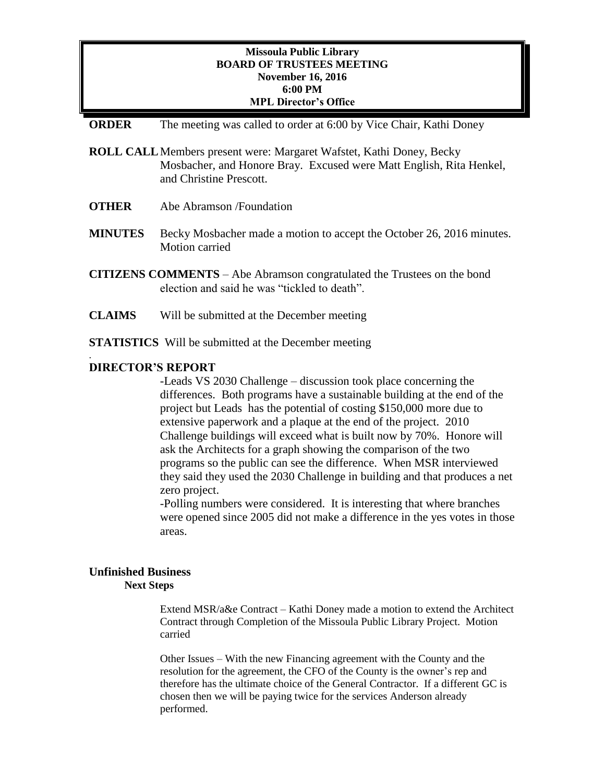# **Missoula Public Library BOARD OF TRUSTEES MEETING November 16, 2016 6:00 PM MPL Director's Office**

### **ORDER** The meeting was called to order at 6:00 by Vice Chair, Kathi Doney

- **ROLL CALL**Members present were: Margaret Wafstet, Kathi Doney, Becky Mosbacher, and Honore Bray. Excused were Matt English, Rita Henkel, and Christine Prescott.
- **OTHER** Abe Abramson /Foundation
- **MINUTES** Becky Mosbacher made a motion to accept the October 26, 2016 minutes. Motion carried
- **CITIZENS COMMENTS**  Abe Abramson congratulated the Trustees on the bond election and said he was "tickled to death".
- **CLAIMS** Will be submitted at the December meeting
- **STATISTICS** Will be submitted at the December meeting

### **DIRECTOR'S REPORT**

.

-Leads VS 2030 Challenge – discussion took place concerning the differences. Both programs have a sustainable building at the end of the project but Leads has the potential of costing \$150,000 more due to extensive paperwork and a plaque at the end of the project. 2010 Challenge buildings will exceed what is built now by 70%. Honore will ask the Architects for a graph showing the comparison of the two programs so the public can see the difference. When MSR interviewed they said they used the 2030 Challenge in building and that produces a net zero project.

-Polling numbers were considered. It is interesting that where branches were opened since 2005 did not make a difference in the yes votes in those areas.

### **Unfinished Business Next Steps**

Extend MSR/a&e Contract – Kathi Doney made a motion to extend the Architect Contract through Completion of the Missoula Public Library Project. Motion carried

Other Issues – With the new Financing agreement with the County and the resolution for the agreement, the CFO of the County is the owner's rep and therefore has the ultimate choice of the General Contractor. If a different GC is chosen then we will be paying twice for the services Anderson already performed.